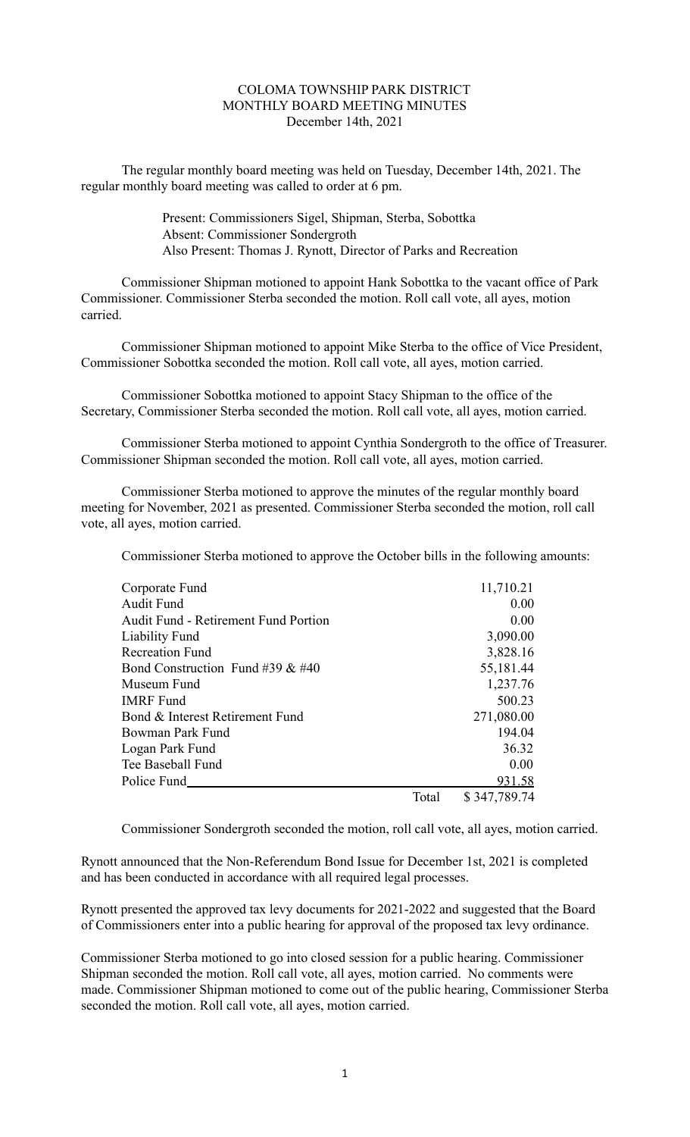## COLOMA TOWNSHIP PARK DISTRICT MONTHLY BOARD MEETING MINUTES December 14th, 2021

The regular monthly board meeting was held on Tuesday, December 14th, 2021. The regular monthly board meeting was called to order at 6 pm.

> Present: Commissioners Sigel, Shipman, Sterba, Sobottka Absent: Commissioner Sondergroth Also Present: Thomas J. Rynott, Director of Parks and Recreation

Commissioner Shipman motioned to appoint Hank Sobottka to the vacant office of Park Commissioner. Commissioner Sterba seconded the motion. Roll call vote, all ayes, motion carried.

Commissioner Shipman motioned to appoint Mike Sterba to the office of Vice President, Commissioner Sobottka seconded the motion. Roll call vote, all ayes, motion carried.

Commissioner Sobottka motioned to appoint Stacy Shipman to the office of the Secretary, Commissioner Sterba seconded the motion. Roll call vote, all ayes, motion carried.

Commissioner Sterba motioned to appoint Cynthia Sondergroth to the office of Treasurer. Commissioner Shipman seconded the motion. Roll call vote, all ayes, motion carried.

Commissioner Sterba motioned to approve the minutes of the regular monthly board meeting for November, 2021 as presented. Commissioner Sterba seconded the motion, roll call vote, all ayes, motion carried.

Commissioner Sterba motioned to approve the October bills in the following amounts:

| Corporate Fund                              |       | 11,710.21    |
|---------------------------------------------|-------|--------------|
| Audit Fund                                  |       | 0.00         |
| <b>Audit Fund - Retirement Fund Portion</b> |       | 0.00         |
| Liability Fund                              |       | 3,090.00     |
| <b>Recreation Fund</b>                      |       | 3,828.16     |
| Bond Construction Fund #39 $&$ #40          |       | 55,181.44    |
| Museum Fund                                 |       | 1,237.76     |
| <b>IMRF</b> Fund                            |       | 500.23       |
| Bond & Interest Retirement Fund             |       | 271,080.00   |
| Bowman Park Fund                            |       | 194.04       |
| Logan Park Fund                             |       | 36.32        |
| Tee Baseball Fund                           |       | 0.00         |
| Police Fund                                 |       | 931.58       |
|                                             | Total | \$347,789.74 |

Commissioner Sondergroth seconded the motion, roll call vote, all ayes, motion carried.

Rynott announced that the Non-Referendum Bond Issue for December 1st, 2021 is completed and has been conducted in accordance with all required legal processes.

Rynott presented the approved tax levy documents for 2021-2022 and suggested that the Board of Commissioners enter into a public hearing for approval of the proposed tax levy ordinance.

Commissioner Sterba motioned to go into closed session for a public hearing. Commissioner Shipman seconded the motion. Roll call vote, all ayes, motion carried. No comments were made. Commissioner Shipman motioned to come out of the public hearing, Commissioner Sterba seconded the motion. Roll call vote, all ayes, motion carried.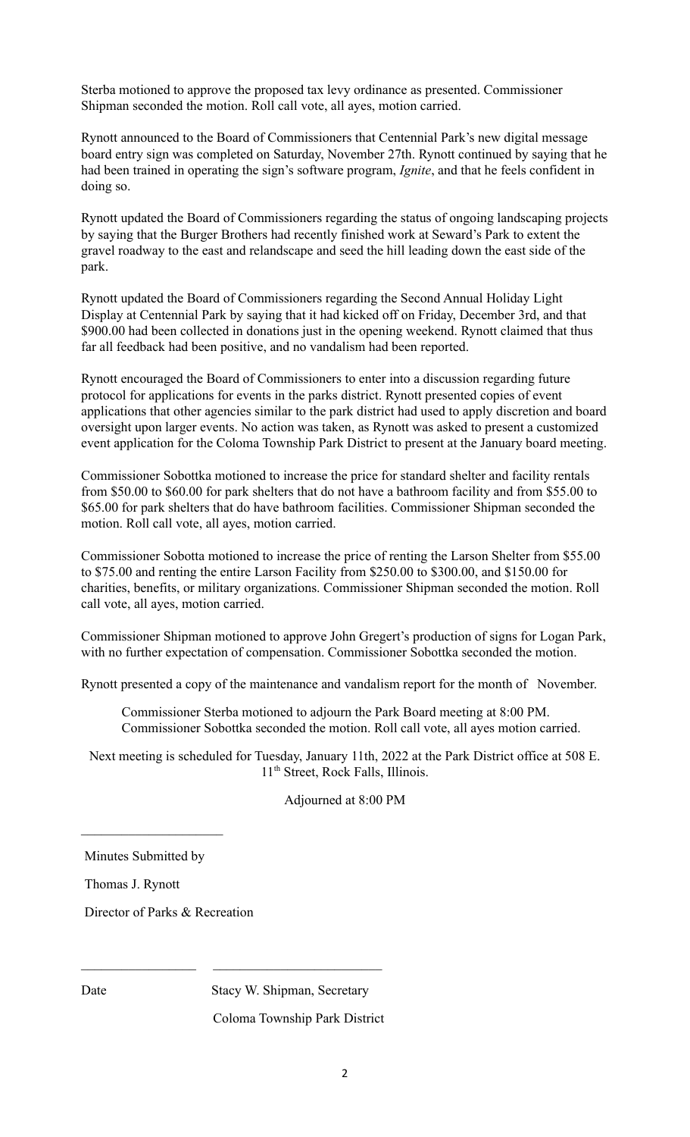Sterba motioned to approve the proposed tax levy ordinance as presented. Commissioner Shipman seconded the motion. Roll call vote, all ayes, motion carried.

Rynott announced to the Board of Commissioners that Centennial Park's new digital message board entry sign was completed on Saturday, November 27th. Rynott continued by saying that he had been trained in operating the sign's software program, *Ignite*, and that he feels confident in doing so.

Rynott updated the Board of Commissioners regarding the status of ongoing landscaping projects by saying that the Burger Brothers had recently finished work at Seward's Park to extent the gravel roadway to the east and relandscape and seed the hill leading down the east side of the park.

Rynott updated the Board of Commissioners regarding the Second Annual Holiday Light Display at Centennial Park by saying that it had kicked off on Friday, December 3rd, and that \$900.00 had been collected in donations just in the opening weekend. Rynott claimed that thus far all feedback had been positive, and no vandalism had been reported.

Rynott encouraged the Board of Commissioners to enter into a discussion regarding future protocol for applications for events in the parks district. Rynott presented copies of event applications that other agencies similar to the park district had used to apply discretion and board oversight upon larger events. No action was taken, as Rynott was asked to present a customized event application for the Coloma Township Park District to present at the January board meeting.

Commissioner Sobottka motioned to increase the price for standard shelter and facility rentals from \$50.00 to \$60.00 for park shelters that do not have a bathroom facility and from \$55.00 to \$65.00 for park shelters that do have bathroom facilities. Commissioner Shipman seconded the motion. Roll call vote, all ayes, motion carried.

Commissioner Sobotta motioned to increase the price of renting the Larson Shelter from \$55.00 to \$75.00 and renting the entire Larson Facility from \$250.00 to \$300.00, and \$150.00 for charities, benefits, or military organizations. Commissioner Shipman seconded the motion. Roll call vote, all ayes, motion carried.

Commissioner Shipman motioned to approve John Gregert's production of signs for Logan Park, with no further expectation of compensation. Commissioner Sobottka seconded the motion.

Rynott presented a copy of the maintenance and vandalism report for the month of November.

Commissioner Sterba motioned to adjourn the Park Board meeting at 8:00 PM. Commissioner Sobottka seconded the motion. Roll call vote, all ayes motion carried.

Next meeting is scheduled for Tuesday, January 11th, 2022 at the Park District office at 508 E. 11 th Street, Rock Falls, Illinois.

## Adjourned at 8:00 PM

Minutes Submitted by

 $\mathcal{L}_\text{max}$ 

Thomas J. Rynott

Director of Parks & Recreation

Date Stacy W. Shipman, Secretary

 $\mathcal{L}_\text{max}$  and the contract of the contract of the contract of the contract of the contract of the contract of the contract of the contract of the contract of the contract of the contract of the contract of the contrac

Coloma Township Park District